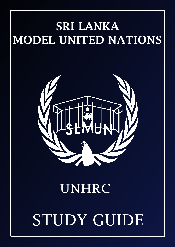# SRI LANKA MODEL UNITED NATIONS



# UNHRC

# STUDY GUIDE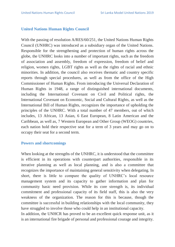# **United Nations Human Rights Council**

With the passing of resolution A/RES/60/251, the United Nations Human Rights Council (UNHRC) was introduced as a subsidiary organ of the United Nations. Responsible for the strengthening and protection of human rights across the globe, the UNHRC looks into a number of important rights, such as the freedom of association and assembly, freedom of expression, freedom of belief and religion, women rights, LGBT rights as well as the rights of racial and ethnic minorities. In addition, the council also receives thematic and country specific reports through special procedures, as well as from the office of the High Commissioner of Human Rights. From introducing the Universal Declaration of Human Rights in 1948, a range of distinguished international documents, including the International Covenant on Civil and Political rights, the International Covenant on Economic, Social and Cultural Rights, as well as the International Bill of Human Rights, recognizes the importance of upholding the principles of the UNHRC. With a total number of 47 members, out of which includes, 13 African, 13 Asian, 6 East European, 8 Latin American and the Caribbean, as well as, 7 Western European and Other Group (WEOG) countries, each nation hold their respective seat for a term of 3 years and may go on to occupy their seat for a second term.

#### **Powers and shortcomings**

When looking at the strengths of the UNHRC, it is understood that the committee is efficient in its operations with counterpart authorities, responsible in its iterative planning as well as local planning, and is also a committee that recognizes the importance of maintaining general sensitivity when delegating. In short, there is little to compare the quality of UNHRC's local resource management system and its capacity to gather information and plan for community basic need provision. While its core strength is, its individual commitment and professional capacity of its field staff, this is also the very weakness of the organization. The reason for this is because, though the committee is successful in building relationships with the local community, they have struggled to involve those who could help in an institutional capacity.

In addition, the UNHCR has proved to be an excellent quick response unit, as it is an international fire brigade of personal and professional courage and integrity.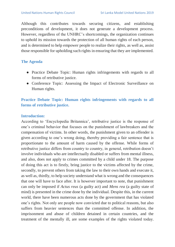Although this contributes towards securing citizens, and establishing preconditions of development, it does not generate a development process. However, regardless of the UNHRC's shortcomings, the organization continues to uphold its mission towards the protection of all human rights of each person, and is determined to help empower people to realize their rights, as well as, assist those responsible for upholding such rights in ensuring that they are implemented.

# **The Agenda**

- Practice Debate Topic: Human rights infringements with regards to all forms of retributive justice.
- Conference Topic: Assessing the Impact of Electronic Surveillance on Human rights.

# **Practice Debate Topic: Human rights infringements with regards to all forms of retributive justice.**

# **Introduction:**

According to 'Encyclopedia Britannica', retributive justice is the response of one's criminal behavior that focuses on the punishment of lawbreakers and the compensation of victims. In other words, the punishment given to an offender is given according to one's wrong doing, thereby providing a fair sentence that is proportionate to the amount of harm caused by the offense. While forms of retributive justice differs from country to country, in general, retribution doesn't involve individuals who are intellectually disabled or suffers from mental illness, and also, does not apply to crimes committed by a child under 18. The purpose of doing this act is to firstly, bring justice to the victims affected by the crime, secondly, to prevent others from taking the law to their own hands and execute it, as well as, thirdly, to help society understand what is wrong and the consequences that one will have to face after. It is however important to note, that punishment can only be imposed if *Actus reus* (a guilty act) and *Mens rea* (a guilty state of mind) is presented in the crime done by the individual. Despite this, in the current world, there have been numerous acts done by the government that has violated one's rights. Not only are people now convicted due to political reasons, but also suffers from heavier sentences than the committed offense. In addition, the imprisonment and abuse of children detained in certain countries, and the treatment of the mentally ill, are some examples of the rights violated today.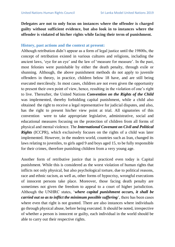**Delegates are not to only focus on instances where the offender is charged guilty without sufficient evidence, but also look in to instances where the offender is violated of his/her rights while facing their term of punishment.**

#### **History, past actions and the context at present:**

Although retribution didn't appear as a form of legal justice until the 19800s, the concept of retribution existed in various cultures and religions, including the ancient laws, 'eye for an eye' and the law of 'measure for measure'. In the past, most felonies were punishable by either the death penalty, through exile or shunning. Although, the above punishment methods do not apply to juvenile offenders in theory, in practice, children below 18 have, and are still being executed mercilessly. In most cases, children are not even given the opportunity to present their own point of view, hence, resulting in the violation of one's right to live. Thereafter, the United Nations *Convention on the Rights of the Child* was implemented, thereby forbidding capital punishment, while a child also obtained the right to receive a legal representative for judicial disputes, and also, has the right to present his/her view point at trial. All signatories of this convention were to take appropriate legislative, administrative, social and educational measures focusing on the protection of children from all forms of physical and mental violence. The *International Covenant on Civil and Political Rights* (ICCPR), which exclusively focuses on the rights of a child was later implemented. However, in the modern world, countries such as Iran, changed its laws relating to juveniles, to girls aged 9 and boys aged 15, to be fully responsible for their crimes, therefore punishing children from a very young age.

Another form of retributive justice that is practiced even today is Capital punishment. While this is considered as the worst violation of human rights that inflicts not only physical, but also psychological torture, due to political reasons, race and ethnic racism, as well as, other forms of hypocrisy, wrongful executions of innocent persons take place. Moreover, those facing death penalty are sometimes not given the freedom to appeal to a court of higher jurisdiction. Although the UNHRC states, '*where capital punishment occurs, it shall be carried out so as to inflict the minimum possible suffering*', there has been cases where even that right is not granted. There are also instances where individuals go through physical abuse, before being executed. It should be noted, irrespective of whether a person is innocent or guilty, each individual in the world should be able to carry out their respective rights.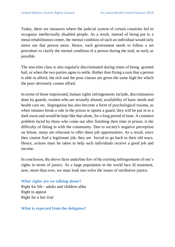Today, there are instances where the judicial system of certain countries fail to recognize intellectually disabled people. As a result, instead of being put to a metal rehabilitation center, the mental condition of such an individual would only stress out that person more. Hence, each government needs to follow a set procedure to clarify the mental condition of a person during the trail, as early as possible.

The non-elite class is also regularly discriminated during times of being granted bail, or when the two parties agree to settle. Rather than fixing a sum that a person is able to afford, the rich and the poor classes are given the same high fee which the poor obviously cannot afford.

In terms of those imprisoned, human rights infringements include, discrimination done by guards, women who are sexually abused, availability of basic needs and health care etc. Segregation has also become a form of psychological trauma, as when inmates break a rule in the prison or upsets a guard, they will be put in to a dark room and would be kept like that alone, for a long period of time. A common problem faced by those who come out after finishing their time in prison, is the difficulty of fitting in with the community. Due to society's negative perception on felons, many are reluctant to offer them job opportunities. As a result, since they cannot find a legitimate job, they are forced to go back to their old ways. Hence, actions must be taken to help such individuals receive a good job and income.

In conclusion, the above facts underline few of the existing infringements of one's rights in terms of justice. As a large population in the world face ill treatment, now, more than ever, we must look into solve the issues of retributive justice.

# **What rights are we talking about?** Right for life - adults and children alike

Right to appeal Right for a fair trial

**What is expected from the delegates?**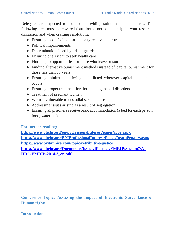Delegates are expected to focus on providing solutions in all spheres. The following area must be covered (but should not be limited) in your research, discussion and when drafting resolutions.

- Ensuring those facing death penalty receive a fair trial
- Political imprisonments
- Discrimination faced by prison guards
- Ensuring one's right to seek health care
- Finding job opportunities for those who leave prison
- Finding alternative punishment methods instead of capital punishment for those less than 18 years
- Ensuring minimum suffering is inflicted wherever capital punishment occurs
- Ensuring proper treatment for those facing mental disorders
- Treatment of pregnant women
- Women vulnerable to custodial sexual abuse
- Addressing issues arising as a result of segregation
- Ensuring all prisoners receive basic accommodation (a bed for each person, food, water etc)

**For further reading:**

**<https://www.ohchr.org/en/professionalinterest/pages/ccpr.aspx> <https://www.ohchr.org/EN/ProfessionalInterest/Pages/DeathPenalty.aspx> <https://www.britannica.com/topic/retributive-justice> [https://www.ohchr.org/Documents/Issues/IPeoples/EMRIP/Session7/A-](https://www.ohchr.org/Documents/Issues/IPeoples/EMRIP/Session7/A-HRC-EMRIP-2014-3_en.pdf)[HRC-EMRIP-2014-3\\_en.pdf](https://www.ohchr.org/Documents/Issues/IPeoples/EMRIP/Session7/A-HRC-EMRIP-2014-3_en.pdf)**

**Conference Topic: Assessing the Impact of Electronic Surveillance on Human rights.**

## **Introduction**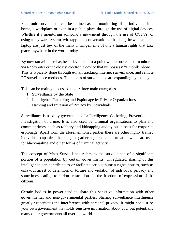Electronic surveillance can be defined as the monitoring of an individual in a home, a workplace or even in a public place through the use of digital devices. Whether it's monitoring someone's movement through the use of CCTVs, or using a spy ware system, wiretapping a conversation or hacking the webcam of a laptop are just few of the many infringements of one's human rights that take place anywhere in the world today.

By now surveillance has been developed to a point where one can be monitored via a computer or the closest electronic device that we possess; "a mobile phone". This is typically done through e-mail tracking, internet surveillance, and remote PC surveillance methods. The means of surveillance are expanding by the day.

This can be mainly discussed under three main categories,

- 1. Surveillance by the State
- 2. Intelligence Gathering and Espionage by Private Organizations
- 3. Hacking and Invasion of Privacy by Individuals

Surveillance is used by governments for Intelligence Gathering, Prevention and Investigation of crime. It is also used by criminal organisations to plan and commit crimes, such as robbery and kidnapping and by businesses for corporate espionage. Apart from the aforementioned parties there are other highly trained individuals capable of hacking and gathering personal information which are used for blackmailing and other forms of criminal activity.

The concept of Mass Surveillance refers to the surveillance of a significant portion of a population by certain governments. Unregulated sharing of this intelligence can contribute to or facilitate serious human rights abuses, such as unlawful arrest or detention, or torture and violation of individual privacy and sometimes leading to serious restrictions in the freedom of expression of the citizens.

Certain bodies in power tend to share this sensitive information with other governmental and non-governmental parties. Sharing surveillance intelligence greatly exacerbates the interference with personal privacy. It might not just be your own government that holds sensitive information about you, but potentially many other governments all over the world.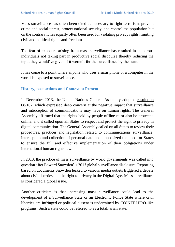Mass surveillance has often been cited as necessary to fight terrorism, prevent crime and social unrest, protect national security, and control the population but on the contrary it has equally often been used for violating privacy rights, limiting civil and political rights and freedoms.

The fear of exposure arising from mass surveillance has resulted in numerous individuals not taking part in productive social discourse thereby reducing the input they would've given if it weren't for the surveillance by the state.

It has come to a point where anyone who uses a smartphone or a computer in the world is exposed to surveillance.

# **History, past actions and Context at Present**

In December 2013, the United Nations General Assembly adopted [resolution](https://undocs.org/A/RES/68/167)  [68/167,](https://undocs.org/A/RES/68/167) which expressed deep concern at the negative impact that surveillance and interception of communications may have on human rights. The General Assembly affirmed that the rights held by people offline must also be protected online, and it called upon all States to respect and protect the right to privacy in digital communication. The General Assembly called on all States to review their procedures, practices and legislation related to communications surveillance, interception and collection of personal data and emphasized the need for States to ensure the full and effective implementation of their obligations under international human rights law.

In 2013, the practice of mass surveillance by world governments was called into question after Edward Snowden''s 2013 global surveillance disclosure. Reporting based on documents Snowden leaked to various media outlets triggered a debate about civil liberties and the right to privacy in the Digital Age. Mass surveillance is considered a global issue.

Another criticism is that increasing mass surveillance could lead to the development of a Surveillance State or an Electronic Police State where civil liberties are infringed or political dissent is undermined by COINTELPRO-like programs. Such a state could be referred to as a totalitarian state.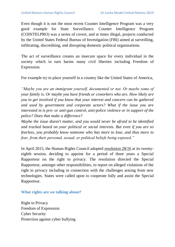Even though it is not the most recent Counter Intelligence Program was a very good example for State Surveillance. Counter Intelligence Program (COINTELPRO) was a series of covert, and at times illegal, projects conducted by the United States Federal Bureau of Investigation (FBI) aimed at surveilling, infiltrating, discrediting, and disrupting domestic political organizations.

The act of surveillance creates an insecure space for every individual in the society which in turn harms many civil liberties including Freedom of Expression.

For example try to place yourself in a country like the United States of America,

*"Maybe you are an immigrant yourself, documented or not. Or maybe some of your family is. Or maybe you have friends or coworkers who are. How likely are you to get involved if you know that your interest and concern can be gathered and used by government and corporate actors? What if the issue you are interested in is pro- or anti-gun control, anti-police violence or in support of the police? Does that make a difference?*

*Maybe the issue doesn't matter, and you would never be afraid to be identified and tracked based on your political or social interests. But even if you are so fearless, you probably know someone who has more to lose, and thus more to fear, from their personal, sexual, or political beliefs being exposed."*

In April 2015, the Human Rights Council adopted [resolution 28/16](https://documents-dds-ny.un.org/doc/UNDOC/GEN/G15/068/78/PDF/G1506878.pdf?OpenElement) at its twentyeighth session, deciding to appoint for a period of three years a Special Rapporteur on the right to privacy. The resolution directed the Special Rapporteur, amongst other responsibilities, to report on alleged violations of the right to privacy including in connection with the challenges arising from new technologies. States were called upon to cooperate fully and assist the Special Rapporteur.

## **What rights are we talking about?**

Right to Privacy Freedom of Expression Cyber Security Protection against cyber bullying